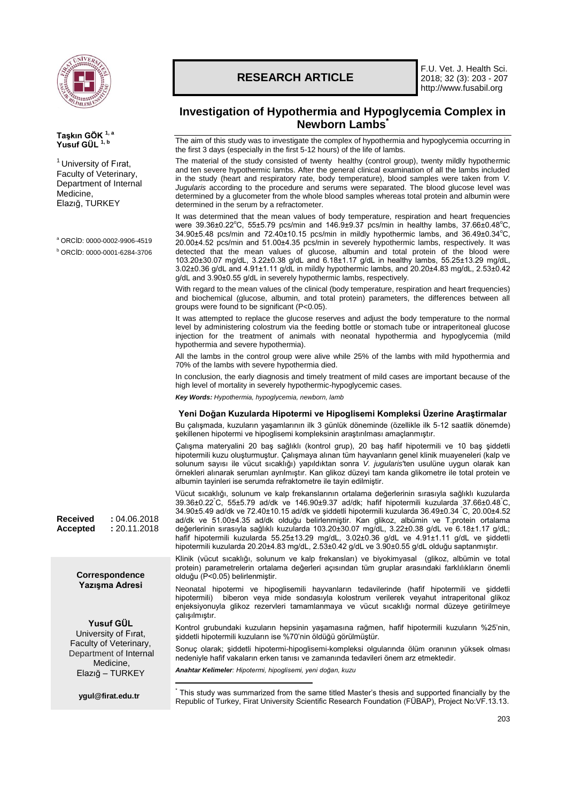

**Taşkın GÖK 1, a Yusuf GÜL 1, b**

Medicine, Elazığ, TURKEY

 $1$  University of Firat, Faculty of Veterinary, Department of Internal

<sup>a</sup> ORCİD: 0000-0002-9906-4519 <sup>b</sup> ORCİD: 0000-0001-6284-3706

# **RESEARCH ARTICLE**

F.U. Vet. J. Health Sci. 2018; 32 (3): 203 - 207 http://www.fusabil.org

## **Investigation of Hypothermia and Hypoglycemia Complex in Newborn Lambs\***

The aim of this study was to investigate the complex of hypothermia and hypoglycemia occurring in the first 3 days (especially in the first 5-12 hours) of the life of lambs.

The material of the study consisted of twenty healthy (control group), twenty mildly hypothermic and ten severe hypothermic lambs. After the general clinical examination of all the lambs included in the study (heart and respiratory rate, body temperature), blood samples were taken from *V. Jugularis* according to the procedure and serums were separated. The blood glucose level was determined by a glucometer from the whole blood samples whereas total protein and albumin were determined in the serum by a refractometer.

It was determined that the mean values of body temperature, respiration and heart frequencies were 39.36±0.22°C, 55±5.79 pcs/min and 146.9±9.37 pcs/min in healthy lambs, 37.66±0.48°C, 34.90±5.48 pcs/min and 72.40±10.15 pcs/min in mildly hypothermic lambs, and 36.49±0.34°C, 20.00±4.52 pcs/min and 51.00±4.35 pcs/min in severely hypothermic lambs, respectively. It was detected that the mean values of glucose, albumin and total protein of the blood were 103.20±30.07 mg/dL, 3.22±0.38 g/dL and 6.18±1.17 g/dL in healthy lambs, 55.25±13.29 mg/dL, 3.02±0.36 g/dL and 4.91±1.11 g/dL in mildly hypothermic lambs, and 20.20±4.83 mg/dL, 2.53±0.42 g/dL and 3.90±0.55 g/dL in severely hypothermic lambs, respectively.

With regard to the mean values of the clinical (body temperature, respiration and heart frequencies) and biochemical (glucose, albumin, and total protein) parameters, the differences between all groups were found to be significant (P<0.05).

It was attempted to replace the glucose reserves and adjust the body temperature to the normal level by administering colostrum via the feeding bottle or stomach tube or intraperitoneal glucose injection for the treatment of animals with neonatal hypothermia and hypoglycemia (mild hypothermia and severe hypothermia).

All the lambs in the control group were alive while 25% of the lambs with mild hypothermia and 70% of the lambs with severe hypothermia died.

In conclusion, the early diagnosis and timely treatment of mild cases are important because of the high level of mortality in severely hypothermic-hypoglycemic cases.

*Key Words: Hypothermia, hypoglycemia, newborn, lamb*

### **Yeni Doğan Kuzularda Hipotermi ve Hipoglisemi Kompleksi Üzerine Araştirmalar**

Bu çalışmada, kuzuların yaşamlarının ilk 3 günlük döneminde (özellikle ilk 5-12 saatlik dönemde) şekillenen hipotermi ve hipoglisemi kompleksinin araştırılması amaçlanmıştır.

Çalışma materyalini 20 baş sağlıklı (kontrol grup), 20 baş hafif hipotermili ve 10 baş şiddetli hipotermili kuzu oluşturmuştur. Çalışmaya alınan tüm hayvanların genel klinik muayeneleri (kalp ve solunum sayısı ile vücut sıcaklığı) yapıldıktan sonra *V. jugularis*'ten usulüne uygun olarak kan örnekleri alınarak serumları ayrılmıştır. Kan glikoz düzeyi tam kanda glikometre ile total protein ve albumin tayinleri ise serumda refraktometre ile tayin edilmiştir.

Vücut sıcaklığı, solunum ve kalp frekanslarının ortalama değerlerinin sırasıyla sağlıklı kuzularda 39.36±0.22°C, 55±5.79 ad/dk ve 146.90±9.37 ad/dk; hafif hipotermili kuzularda 37.66±0.48°C, 34.90±5.49 ad/dk ve 72.40±10.15 ad/dk ve şiddetli hipotermili kuzularda 36.49±0.34 °C, 20.00±4.52 ad/dk ve 51.00±4.35 ad/dk olduğu belirlenmiştir. Kan glikoz, albümin ve T.protein ortalama değerlerinin sırasıyla sağlıklı kuzularda 103.20±30.07 mg/dL, 3.22±0.38 g/dL ve 6.18±1.17 g/dL; hafif hipotermili kuzularda 55.25±13.29 mg/dL, 3.02±0.36 g/dL ve 4.91±1.11 g/dL ve şiddetli hipotermili kuzularda 20.20±4.83 mg/dL, 2.53±0.42 g/dL ve 3.90±0.55 g/dL olduğu saptanmıştır.

Klinik (vücut sıcaklığı, solunum ve kalp frekansları) ve biyokimyasal (glikoz, albümin ve total protein) parametrelerin ortalama değerleri açısından tüm gruplar arasındaki farklılıkların önemli olduğu (P<0.05) belirlenmiştir.

Neonatal hipotermi ve hipoglisemili hayvanların tedavilerinde (hafif hipotermili ve şiddetli hipotermili) biberon veya mide sondasıyla kolostrum verilerek veyahut intraperitonal glikoz enjeksiyonuyla glikoz rezervleri tamamlanmaya ve vücut sıcaklığı normal düzeye getirilmeye çalışılmıştır.

Kontrol grubundaki kuzuların hepsinin yaşamasına rağmen, hafif hipotermili kuzuların %25'nin, şiddetli hipotermili kuzuların ise %70'nin öldüğü görülmüştür.

Sonuç olarak; şiddetli hipotermi-hipoglisemi-kompleksi olgularında ölüm oranının yüksek olması nedeniyle hafif vakaların erken tanısı ve zamanında tedavileri önem arz etmektedir.

*Anahtar Kelimeler: Hipotermi, hipoglisemi, yeni doğan, kuzu*

**[ygul@firat.edu.tr](mailto:ckalkan@firat.edu.tr)**

**Received :** 04.06.2018 **Accepted :** 20.11.2018

> **Correspondence Yazışma Adresi**

**Yusuf GÜL** University of Fırat, Faculty of Veterinary, Department of Internal Medicine, Elazığ – TURKEY

1 \* This study was summarized from the same titled Master's thesis and supported financially by the Republic of Turkey, Firat University Scientific Research Foundation (FÜBAP), Project No:VF.13.13.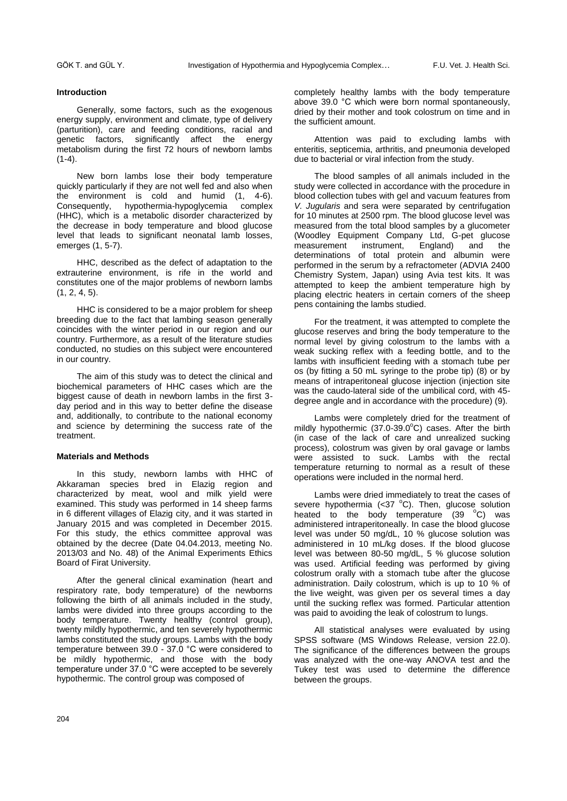#### **Introduction**

Generally, some factors, such as the exogenous energy supply, environment and climate, type of delivery (parturition), care and feeding conditions, racial and genetic factors, significantly affect the energy metabolism during the first 72 hours of newborn lambs  $(1-4).$ 

New born lambs lose their body temperature quickly particularly if they are not well fed and also when the environment is cold and humid (1, 4-6). Consequently, hypothermia-hypoglycemia complex (HHC), which is a metabolic disorder characterized by the decrease in body temperature and blood glucose level that leads to significant neonatal lamb losses, emerges (1, 5-7).

HHC, described as the defect of adaptation to the extrauterine environment, is rife in the world and constitutes one of the major problems of newborn lambs (1, 2, 4, 5).

HHC is considered to be a major problem for sheep breeding due to the fact that lambing season generally coincides with the winter period in our region and our country. Furthermore, as a result of the literature studies conducted, no studies on this subject were encountered in our country.

The aim of this study was to detect the clinical and biochemical parameters of HHC cases which are the biggest cause of death in newborn lambs in the first 3 day period and in this way to better define the disease and, additionally, to contribute to the national economy and science by determining the success rate of the treatment.

#### **Materials and Methods**

In this study, newborn lambs with HHC of Akkaraman species bred in Elazig region and characterized by meat, wool and milk yield were examined. This study was performed in 14 sheep farms in 6 different villages of Elazig city, and it was started in January 2015 and was completed in December 2015. For this study, the ethics committee approval was obtained by the decree (Date 04.04.2013, meeting No. 2013/03 and No. 48) of the Animal Experiments Ethics Board of Firat University.

After the general clinical examination (heart and respiratory rate, body temperature) of the newborns following the birth of all animals included in the study, lambs were divided into three groups according to the body temperature. Twenty healthy (control group), twenty mildly hypothermic, and ten severely hypothermic lambs constituted the study groups. Lambs with the body temperature between 39.0 - 37.0 °C were considered to be mildly hypothermic, and those with the body temperature under 37.0 °C were accepted to be severely hypothermic. The control group was composed of

completely healthy lambs with the body temperature above 39.0 °C which were born normal spontaneously, dried by their mother and took colostrum on time and in the sufficient amount.

Attention was paid to excluding lambs with enteritis, septicemia, arthritis, and pneumonia developed due to bacterial or viral infection from the study.

The blood samples of all animals included in the study were collected in accordance with the procedure in blood collection tubes with gel and vacuum features from *V. Jugularis* and sera were separated by centrifugation for 10 minutes at 2500 rpm. The blood glucose level was measured from the total blood samples by a glucometer (Woodley Equipment Company Ltd, G-pet glucose measurement instrument, England) and the determinations of total protein and albumin were performed in the serum by a refractometer (ADVIA 2400 Chemistry System, Japan) using Avia test kits. It was attempted to keep the ambient temperature high by placing electric heaters in certain corners of the sheep pens containing the lambs studied.

For the treatment, it was attempted to complete the glucose reserves and bring the body temperature to the normal level by giving colostrum to the lambs with a weak sucking reflex with a feeding bottle, and to the lambs with insufficient feeding with a stomach tube per os (by fitting a 50 mL syringe to the probe tip) (8) or by means of intraperitoneal glucose injection (injection site was the caudo-lateral side of the umbilical cord, with 45 degree angle and in accordance with the procedure) (9).

Lambs were completely dried for the treatment of mildly hypothermic  $(37.0-39.0^{\circ}C)$  cases. After the birth (in case of the lack of care and unrealized sucking process), colostrum was given by oral gavage or lambs were assisted to suck. Lambs with the rectal temperature returning to normal as a result of these operations were included in the normal herd.

Lambs were dried immediately to treat the cases of severe hypothermia (< $37$  °C). Then, glucose solution heated to the body temperature  $(39 \text{ °C})$  was administered intraperitoneally. In case the blood glucose level was under 50 mg/dL, 10 % glucose solution was administered in 10 mL/kg doses. If the blood glucose level was between 80-50 mg/dL, 5 % glucose solution was used. Artificial feeding was performed by giving colostrum orally with a stomach tube after the glucose administration. Daily colostrum, which is up to 10 % of the live weight, was given per os several times a day until the sucking reflex was formed. Particular attention was paid to avoiding the leak of colostrum to lungs.

All statistical analyses were evaluated by using SPSS software (MS Windows Release, version 22.0). The significance of the differences between the groups was analyzed with the one-way ANOVA test and the Tukey test was used to determine the difference between the groups.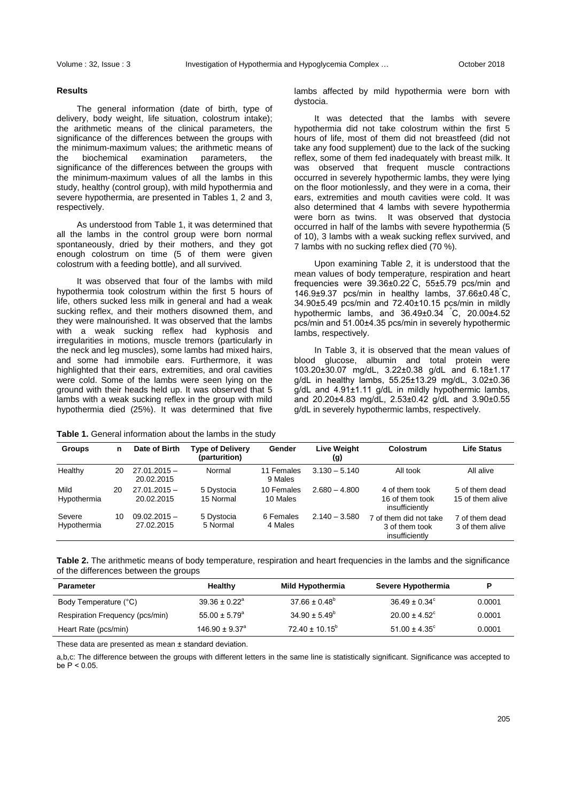#### **Results**

The general information (date of birth, type of delivery, body weight, life situation, colostrum intake); the arithmetic means of the clinical parameters, the significance of the differences between the groups with the minimum-maximum values; the arithmetic means of the biochemical examination parameters, the significance of the differences between the groups with the minimum-maximum values of all the lambs in this study, healthy (control group), with mild hypothermia and severe hypothermia, are presented in Tables 1, 2 and 3, respectively.

As understood from Table 1, it was determined that all the lambs in the control group were born normal spontaneously, dried by their mothers, and they got enough colostrum on time (5 of them were given colostrum with a feeding bottle), and all survived.

It was observed that four of the lambs with mild hypothermia took colostrum within the first 5 hours of life, others sucked less milk in general and had a weak sucking reflex, and their mothers disowned them, and they were malnourished. It was observed that the lambs with a weak sucking reflex had kyphosis and irregularities in motions, muscle tremors (particularly in the neck and leg muscles), some lambs had mixed hairs, and some had immobile ears. Furthermore, it was highlighted that their ears, extremities, and oral cavities were cold. Some of the lambs were seen lying on the ground with their heads held up. It was observed that 5 lambs with a weak sucking reflex in the group with mild hypothermia died (25%). It was determined that five

**Table 1.** General information about the lambs in the study

|           |  |  |  | lambs affected by mild hypothermia were born with |  |  |
|-----------|--|--|--|---------------------------------------------------|--|--|
| dystocia. |  |  |  |                                                   |  |  |

It was detected that the lambs with severe hypothermia did not take colostrum within the first 5 hours of life, most of them did not breastfeed (did not take any food supplement) due to the lack of the sucking reflex, some of them fed inadequately with breast milk. It was observed that frequent muscle contractions occurred in severely hypothermic lambs, they were lying on the floor motionlessly, and they were in a coma, their ears, extremities and mouth cavities were cold. It was also determined that 4 lambs with severe hypothermia were born as twins. It was observed that dystocia occurred in half of the lambs with severe hypothermia (5 of 10), 3 lambs with a weak sucking reflex survived, and 7 lambs with no sucking reflex died (70 %).

Upon examining Table 2, it is understood that the mean values of body temperature, respiration and heart frequencies were 39.36±0.22°C, 55±5.79 pcs/min and 146.9±9.37 pcs/min in healthy lambs, 37.66±0.48°C, 34.90±5.49 pcs/min and 72.40±10.15 pcs/min in mildly hypothermic lambs, and 36.49±0.34 °C, 20.00±4.52 pcs/min and 51.00±4.35 pcs/min in severely hypothermic lambs, respectively.

In Table 3, it is observed that the mean values of blood glucose, albumin and total protein were 103.20±30.07 mg/dL, 3.22±0.38 g/dL and 6.18±1.17 g/dL in healthy lambs, 55.25±13.29 mg/dL, 3.02±0.36 g/dL and 4.91±1.11 g/dL in mildly hypothermic lambs, and 20.20±4.83 mg/dL, 2.53±0.42 g/dL and 3.90±0.55 g/dL in severely hypothermic lambs, respectively.

| <b>Groups</b>         | n  | Date of Birth                | <b>Type of Delivery</b><br>(parturition) | Gender                 | <b>Live Weight</b><br>(g) | Colostrum                                                  | <b>Life Status</b>                 |
|-----------------------|----|------------------------------|------------------------------------------|------------------------|---------------------------|------------------------------------------------------------|------------------------------------|
| Healthy               | 20 | $27.01.2015 -$<br>20.02.2015 | Normal                                   | 11 Females<br>9 Males  | $3.130 - 5.140$           | All took                                                   | All alive                          |
| Mild<br>Hypothermia   | 20 | $27.01.2015 -$<br>20.02.2015 | 5 Dystocia<br>15 Normal                  | 10 Females<br>10 Males | $2.680 - 4.800$           | 4 of them took<br>16 of them took<br>insufficiently        | 5 of them dead<br>15 of them alive |
| Severe<br>Hypothermia | 10 | $09.02.2015 -$<br>27.02.2015 | 5 Dystocia<br>5 Normal                   | 6 Females<br>4 Males   | $2.140 - 3.580$           | 7 of them did not take<br>3 of them took<br>insufficiently | 7 of them dead<br>3 of them alive  |

**Table 2.** The arithmetic means of body temperature, respiration and heart frequencies in the lambs and the significance of the differences between the groups

| <b>Parameter</b>                | Healthy                        | Mild Hypothermia          | Severe Hypothermia            | D      |
|---------------------------------|--------------------------------|---------------------------|-------------------------------|--------|
| Body Temperature (°C)           | $39.36 \pm 0.22^{\circ}$       | $37.66 \pm 0.48^{\circ}$  | $36.49 \pm 0.34^{\circ}$      | 0.0001 |
| Respiration Frequency (pcs/min) | $55.00 \pm 5.79^{\circ}$       | $34.90 \pm 5.49^{\circ}$  | $20.00 \pm 4.52$ <sup>c</sup> | 0.0001 |
| Heart Rate (pcs/min)            | $146.90 \pm 9.37$ <sup>a</sup> | $72.40 \pm 10.15^{\circ}$ | $51.00 \pm 4.35^{\circ}$      | 0.0001 |

These data are presented as mean ± standard deviation.

a,b,c: The difference between the groups with different letters in the same line is statistically significant. Significance was accepted to  $be P < 0.05$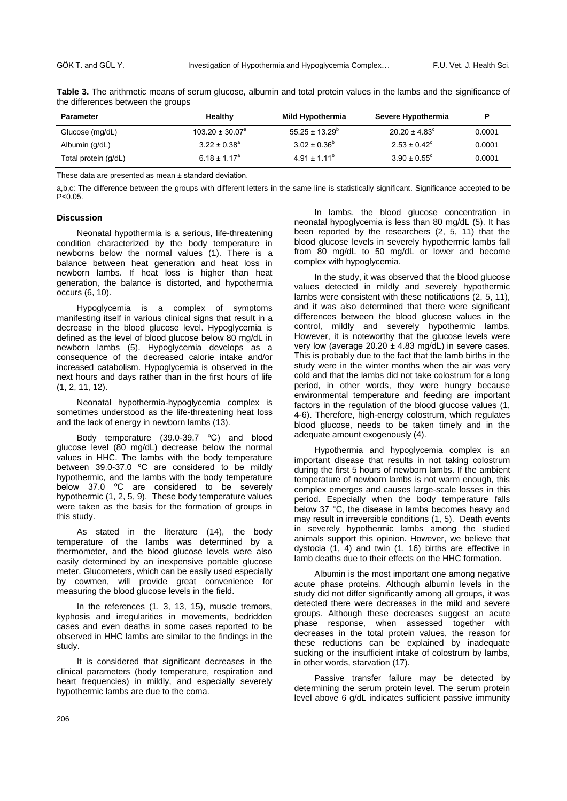| the directories between the groups |                         |                           |                          |        |  |  |  |
|------------------------------------|-------------------------|---------------------------|--------------------------|--------|--|--|--|
| <b>Parameter</b>                   | Healthy                 | Mild Hypothermia          | Severe Hypothermia       |        |  |  |  |
| Glucose (mg/dL)                    | $103.20 \pm 30.07^a$    | $55.25 \pm 13.29^{\circ}$ | $20.20 \pm 4.83^{\circ}$ | 0.0001 |  |  |  |
| Albumin (g/dL)                     | $3.22 \pm 0.38^{\circ}$ | $3.02 \pm 0.36^{\circ}$   | $2.53 \pm 0.42^{\circ}$  | 0.0001 |  |  |  |
| Total protein (g/dL)               | $6.18 \pm 1.17^a$       | $4.91 \pm 1.11^b$         | $3.90 \pm 0.55^{\circ}$  | 0.0001 |  |  |  |

**Table 3.** The arithmetic means of serum glucose, albumin and total protein values in the lambs and the significance of the differences between the groups

These data are presented as mean ± standard deviation.

a,b,c: The difference between the groups with different letters in the same line is statistically significant. Significance accepted to be P˂0.05.

#### **Discussion**

Neonatal hypothermia is a serious, life-threatening condition characterized by the body temperature in newborns below the normal values (1). There is a balance between heat generation and heat loss in newborn lambs. If heat loss is higher than heat generation, the balance is distorted, and hypothermia occurs (6, 10).

Hypoglycemia is a complex of symptoms manifesting itself in various clinical signs that result in a decrease in the blood glucose level. Hypoglycemia is defined as the level of blood glucose below 80 mg/dL in newborn lambs (5). Hypoglycemia develops as a consequence of the decreased calorie intake and/or increased catabolism. Hypoglycemia is observed in the next hours and days rather than in the first hours of life (1, 2, 11, 12).

Neonatal hypothermia-hypoglycemia complex is sometimes understood as the life-threatening heat loss and the lack of energy in newborn lambs (13).

Body temperature (39.0-39.7 ºC) and blood glucose level (80 mg/dL) decrease below the normal values in HHC. The lambs with the body temperature between 39.0-37.0 ºC are considered to be mildly hypothermic, and the lambs with the body temperature below 37.0 °C are considered to be severely hypothermic (1, 2, 5, 9). These body temperature values were taken as the basis for the formation of groups in this study.

As stated in the literature (14), the body temperature of the lambs was determined by a thermometer, and the blood glucose levels were also easily determined by an inexpensive portable glucose meter. Glucometers, which can be easily used especially by cowmen, will provide great convenience for measuring the blood glucose levels in the field.

In the references (1, 3, 13, 15), muscle tremors, kyphosis and irregularities in movements, bedridden cases and even deaths in some cases reported to be observed in HHC lambs are similar to the findings in the study.

It is considered that significant decreases in the clinical parameters (body temperature, respiration and heart frequencies) in mildly, and especially severely hypothermic lambs are due to the coma.

In lambs, the blood glucose concentration in neonatal hypoglycemia is less than 80 mg/dL (5). It has been reported by the researchers (2, 5, 11) that the blood glucose levels in severely hypothermic lambs fall from 80 mg/dL to 50 mg/dL or lower and become complex with hypoglycemia.

In the study, it was observed that the blood glucose values detected in mildly and severely hypothermic lambs were consistent with these notifications (2, 5, 11), and it was also determined that there were significant differences between the blood glucose values in the control, mildly and severely hypothermic lambs. However, it is noteworthy that the glucose levels were very low (average  $20.20 \pm 4.83$  mg/dL) in severe cases. This is probably due to the fact that the lamb births in the study were in the winter months when the air was very cold and that the lambs did not take colostrum for a long period, in other words, they were hungry because environmental temperature and feeding are important factors in the regulation of the blood glucose values (1, 4-6). Therefore, high-energy colostrum, which regulates blood glucose, needs to be taken timely and in the adequate amount exogenously (4).

Hypothermia and hypoglycemia complex is an important disease that results in not taking colostrum during the first 5 hours of newborn lambs. If the ambient temperature of newborn lambs is not warm enough, this complex emerges and causes large-scale losses in this period. Especially when the body temperature falls below 37 °C, the disease in lambs becomes heavy and may result in irreversible conditions (1, 5). Death events in severely hypothermic lambs among the studied animals support this opinion. However, we believe that dystocia (1, 4) and twin (1, 16) births are effective in lamb deaths due to their effects on the HHC formation.

Albumin is the most important one among negative acute phase proteins. Although albumin levels in the study did not differ significantly among all groups, it was detected there were decreases in the mild and severe groups. Although these decreases suggest an acute phase response, when assessed together with decreases in the total protein values, the reason for these reductions can be explained by inadequate sucking or the insufficient intake of colostrum by lambs, in other words, starvation (17).

Passive transfer failure may be detected by determining the serum protein level. The serum protein level above 6 g/dL indicates sufficient passive immunity